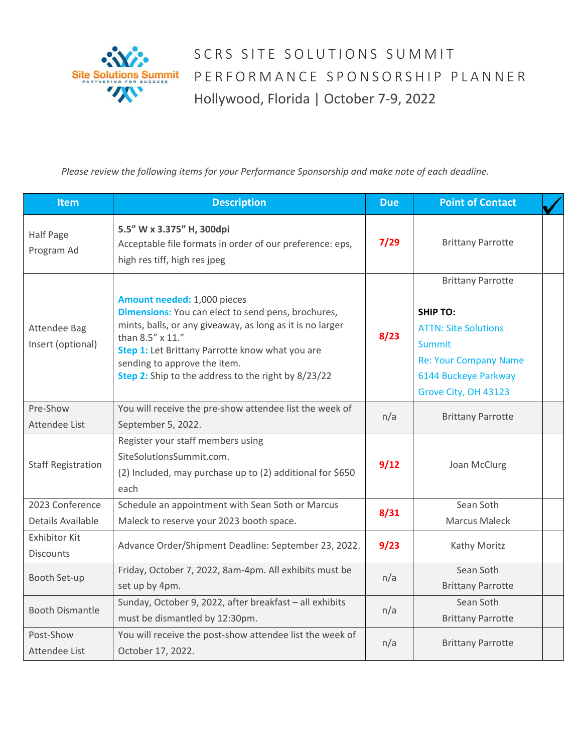

SCRS SITE SOLUTIONS SUMMIT PERFORMANCE SPONSORSHIP PLANNER Hollywood, Florida | October 7-9, 2022

*Please review the following items for your Performance Sponsorship and make note of each deadline.* 

| <b>Item</b>                              | <b>Description</b>                                                                                                                                                                                                                                                                                           | <b>Due</b> | <b>Point of Contact</b>                                                                                                                                                     |  |
|------------------------------------------|--------------------------------------------------------------------------------------------------------------------------------------------------------------------------------------------------------------------------------------------------------------------------------------------------------------|------------|-----------------------------------------------------------------------------------------------------------------------------------------------------------------------------|--|
| Half Page<br>Program Ad                  | 5.5" W x 3.375" H, 300dpi<br>Acceptable file formats in order of our preference: eps,<br>high res tiff, high res jpeg                                                                                                                                                                                        | $7/29$     | <b>Brittany Parrotte</b>                                                                                                                                                    |  |
| <b>Attendee Bag</b><br>Insert (optional) | Amount needed: 1,000 pieces<br>Dimensions: You can elect to send pens, brochures,<br>mints, balls, or any giveaway, as long as it is no larger<br>than 8.5" x 11."<br>Step 1: Let Brittany Parrotte know what you are<br>sending to approve the item.<br>Step 2: Ship to the address to the right by 8/23/22 | 8/23       | <b>Brittany Parrotte</b><br><b>SHIP TO:</b><br><b>ATTN: Site Solutions</b><br><b>Summit</b><br><b>Re: Your Company Name</b><br>6144 Buckeye Parkway<br>Grove City, OH 43123 |  |
| Pre-Show<br>Attendee List                | You will receive the pre-show attendee list the week of<br>September 5, 2022.                                                                                                                                                                                                                                | n/a        | <b>Brittany Parrotte</b>                                                                                                                                                    |  |
| <b>Staff Registration</b>                | Register your staff members using<br>SiteSolutionsSummit.com.<br>(2) Included, may purchase up to (2) additional for \$650<br>each                                                                                                                                                                           | 9/12       | Joan McClurg                                                                                                                                                                |  |
| 2023 Conference<br>Details Available     | Schedule an appointment with Sean Soth or Marcus<br>Maleck to reserve your 2023 booth space.                                                                                                                                                                                                                 | 8/31       | Sean Soth<br><b>Marcus Maleck</b>                                                                                                                                           |  |
| <b>Exhibitor Kit</b><br>Discounts        | Advance Order/Shipment Deadline: September 23, 2022.                                                                                                                                                                                                                                                         | 9/23       | Kathy Moritz                                                                                                                                                                |  |
| Booth Set-up                             | Friday, October 7, 2022, 8am-4pm. All exhibits must be<br>set up by 4pm.                                                                                                                                                                                                                                     | n/a        | Sean Soth<br><b>Brittany Parrotte</b>                                                                                                                                       |  |
| <b>Booth Dismantle</b>                   | Sunday, October 9, 2022, after breakfast - all exhibits<br>must be dismantled by 12:30pm.                                                                                                                                                                                                                    | n/a        | Sean Soth<br><b>Brittany Parrotte</b>                                                                                                                                       |  |
| Post-Show<br>Attendee List               | You will receive the post-show attendee list the week of<br>October 17, 2022.                                                                                                                                                                                                                                | n/a        | <b>Brittany Parrotte</b>                                                                                                                                                    |  |